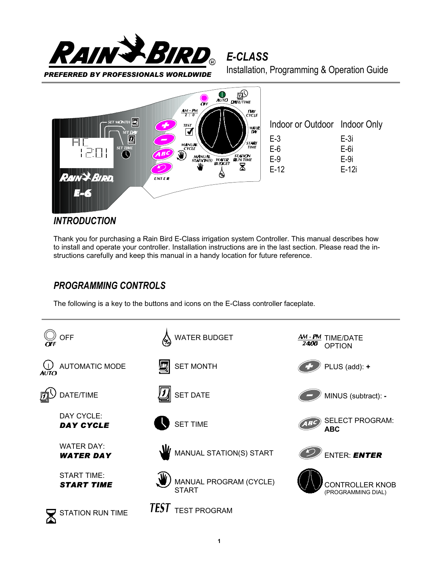

*E-CLASS*



### *INTRODUCTION*

Thank you for purchasing a Rain Bird E-Class irrigation system Controller. This manual describes how to install and operate your controller. Installation instructions are in the last section. Please read the instructions carefully and keep this manual in a handy location for future reference.

## *PROGRAMMING CONTROLS*

The following is a key to the buttons and icons on the E-Class controller faceplate.

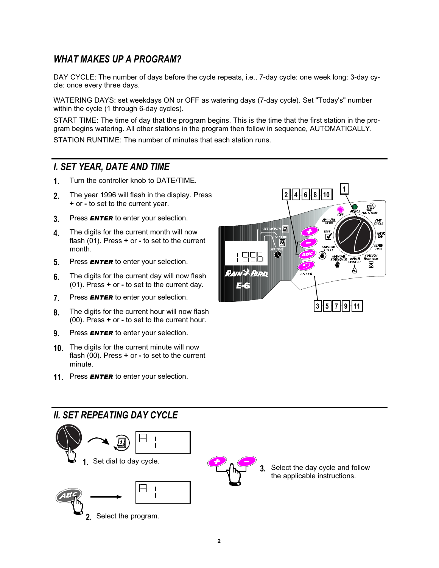# *WHAT MAKES UP A PROGRAM?*

DAY CYCLE: The number of days before the cycle repeats, i.e., 7-day cycle: one week long: 3-day cycle: once every three days.

WATERING DAYS: set weekdays ON or OFF as watering days (7-day cycle). Set "Today's" number within the cycle (1 through 6-day cycles).

START TIME: The time of day that the program begins. This is the time that the first station in the program begins watering. All other stations in the program then follow in sequence, AUTOMATICALLY.

STATION RUNTIME: The number of minutes that each station runs.

### *I. SET YEAR, DATE AND TIME*

- **1.** Turn the controller knob to DATE/TIME.
- **2.** The year 1996 will flash in the display. Press **+** or **-** to set to the current year.
- **3.** Press *ENTER* to enter your selection.
- **4.** The digits for the current month will now flash (01). Press **+** or **-** to set to the current month.
- **5.** Press *ENTER* to enter your selection.
- **6.** The digits for the current day will now flash (01). Press **+** or **-** to set to the current day.
- **7.** Press *ENTER* to enter your selection.
- **8.** The digits for the current hour will now flash (00). Press **+** or **-** to set to the current hour.
- **9.** Press *ENTER* to enter your selection.
- **10.** The digits for the current minute will now flash (00). Press **+** or **-** to set to the current minute.
- **11.** Press *ENTER* to enter your selection.



## *II. SET REPEATING DAY CYCLE*

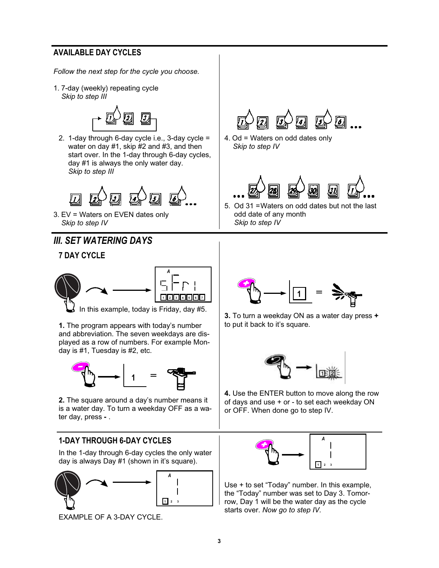### **AVAILABLE DAY CYCLES**

*Follow the next step for the cycle you choose.*

1. 7-day (weekly) repeating cycle *Skip to step III*



2. 1-day through 6-day cycle i.e., 3-day cycle = water on day #1, skip #2 and #3, and then start over. In the 1-day through 6-day cycles, day #1 is always the only water day. *Skip to step III*



3. EV = Waters on EVEN dates only *Skip to step IV*

## *III. SET WATERING DAYS*

### **7 DAY CYCLE**



In this example, today is Friday, day #5.

**1.** The program appears with today's number and abbreviation. The seven weekdays are displayed as a row of numbers. For example Monday is #1, Tuesday is #2, etc.



**2.** The square around a day's number means it is a water day. To turn a weekday OFF as a water day, press **-** .

### **1-DAY THROUGH 6-DAY CYCLES**

In the 1-day through 6-day cycles the only water day is always Day #1 (shown in it's square).



EXAMPLE OF A 3-DAY CYCLE.



4. Od = Waters on odd dates only *Skip to step IV*



5. Od 31 =Waters on odd dates but not the last odd date of any month *Skip to step IV*



**3.** To turn a weekday ON as a water day press **+** to put it back to it's square.



**4.** Use the ENTER button to move along the row of days and use + or - to set each weekday ON or OFF. When done go to step IV.



Use + to set "Today" number. In this example, the "Today" number was set to Day 3. Tomorrow, Day 1 will be the water day as the cycle starts over. *Now go to step IV.*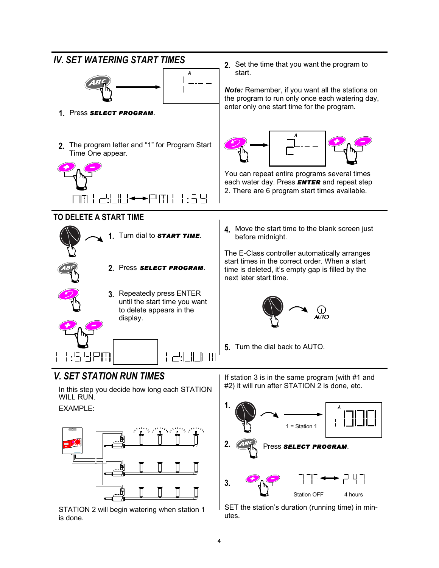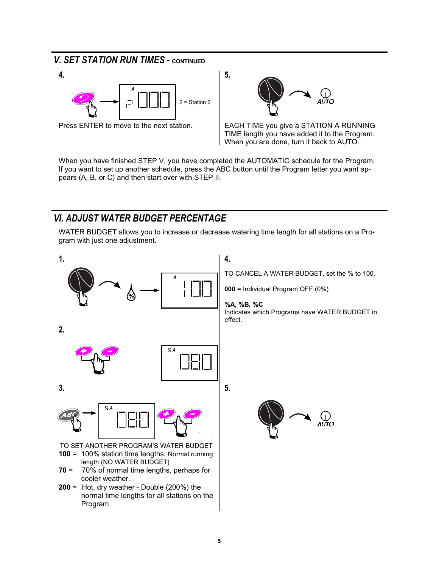## *V. SET STATION RUN TIMES - CONTINUED*





Press ENTER to move to the next station. **EXACCULT INCE 1** EACH TIME you give a STATION A RUNNING TIME length you have added it to the Program. When you are done, turn it back to AUTO.

When you have finished STEP V, you have completed the AUTOMATIC schedule for the Program. If you want to set up another schedule, press the ABC button until the Program letter you want appears (A, B, or C) and then start over with STEP II.

## *VI. ADJUST WATER BUDGET PERCENTAGE*

WATER BUDGET allows you to increase or decrease watering time length for all stations on a Program with just one adjustment.

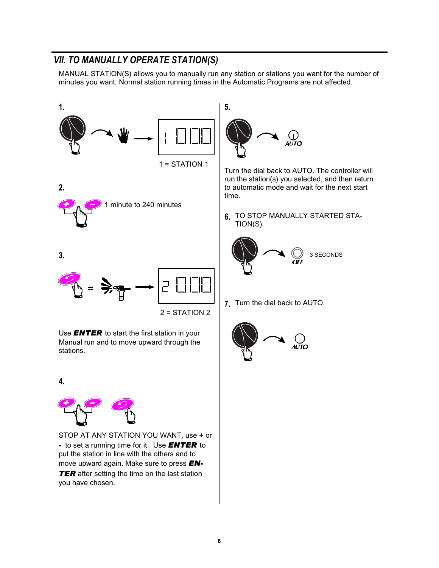# *VII. TO MANUALLY OPERATE STATION(S)*

MANUAL STATION(S) allows you to manually run any station or stations you want for the number of minutes you want. Normal station running times in the Automatic Programs are not affected.



STOP AT ANY STATION YOU WANT, use **+** or **-** to set a running time for it. Use *ENTER* to put the station in line with the others and to move upward again. Make sure to press *EN-***TER** after setting the time on the last station you have chosen.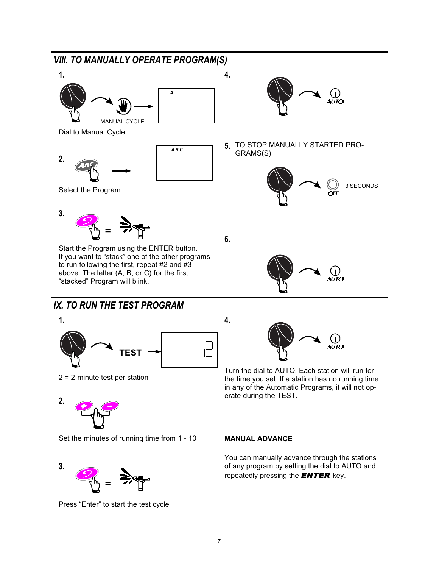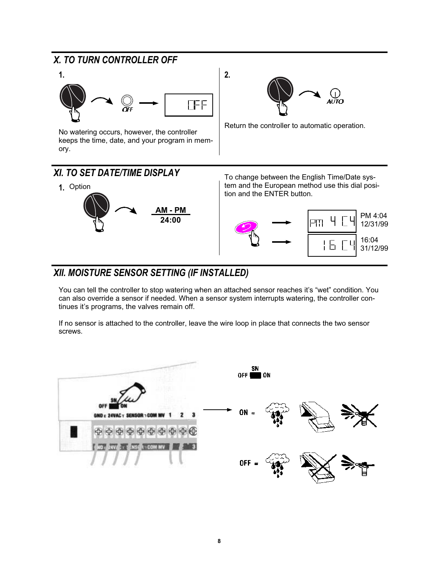# *X. TO TURN CONTROLLER OFF*



No watering occurs, however, the controller keeps the time, date, and your program in memory.

AUTO

Return the controller to automatic operation.



**2.**

# *XII. MOISTURE SENSOR SETTING (IF INSTALLED)*

You can tell the controller to stop watering when an attached sensor reaches it's "wet" condition. You can also override a sensor if needed. When a sensor system interrupts watering, the controller continues it's programs, the valves remain off.

If no sensor is attached to the controller, leave the wire loop in place that connects the two sensor screws.

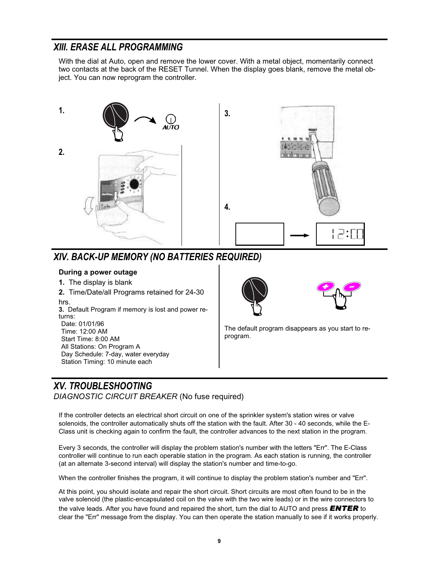## *XIII. ERASE ALL PROGRAMMING*

With the dial at Auto, open and remove the lower cover. With a metal object, momentarily connect two contacts at the back of the RESET Tunnel. When the display goes blank, remove the metal object. You can now reprogram the controller.



# *XIV. BACK-UP MEMORY (NO BATTERIES REQUIRED)*

#### **During a power outage**

- **1.** The display is blank
- **2.** Time/Date/all Programs retained for 24-30 hrs.

**3.** Default Program if memory is lost and power returns: Date: 01/01/96

Time: 12:00 AM Start Time: 8:00 AM All Stations: On Program A Day Schedule: 7-day, water everyday Station Timing: 10 minute each





The default program disappears as you start to reprogram.

# *XV. TROUBLESHOOTING*

*DIAGNOSTIC CIRCUIT BREAKER* (No fuse required)

If the controller detects an electrical short circuit on one of the sprinkler system's station wires or valve solenoids, the controller automatically shuts off the station with the fault. After 30 - 40 seconds, while the E-Class unit is checking again to confirm the fault, the controller advances to the next station in the program.

Every 3 seconds, the controller will display the problem station's number with the letters "Err". The E-Class controller will continue to run each operable station in the program. As each station is running, the controller (at an alternate 3-second interval) will display the station's number and time-to-go.

When the controller finishes the program, it will continue to display the problem station's number and "Err".

At this point, you should isolate and repair the short circuit. Short circuits are most often found to be in the valve solenoid (the plastic-encapsulated coil on the valve with the two wire leads) or in the wire connectors to the valve leads. After you have found and repaired the short, turn the dial to AUTO and press *ENTER* to clear the "Err" message from the display. You can then operate the station manually to see if it works properly.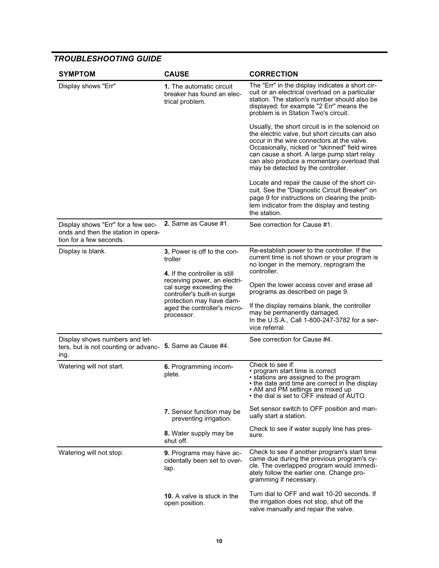### *TROUBLESHOOTING GUIDE*

| <b>SYMPTOM</b>                                                                                       | <b>CAUSE</b>                                                                                                                                                                                                                                | <b>CORRECTION</b>                                                                                                                                                                                                                                                                                                                     |
|------------------------------------------------------------------------------------------------------|---------------------------------------------------------------------------------------------------------------------------------------------------------------------------------------------------------------------------------------------|---------------------------------------------------------------------------------------------------------------------------------------------------------------------------------------------------------------------------------------------------------------------------------------------------------------------------------------|
| Display shows "Err"                                                                                  | 1. The automatic circuit<br>breaker has found an elec-<br>trical problem.                                                                                                                                                                   | The "Err" in the display indicates a short cir-<br>cuit or an electrical overload on a particular<br>station. The station's number should also be<br>displayed; for example "2 Err" means the<br>problem is in Station Two's circuit.                                                                                                 |
|                                                                                                      |                                                                                                                                                                                                                                             | Usually, the short circuit is in the solenoid on<br>the electric valve, but short circuits can also<br>occur in the wire connectors at the valve.<br>Occasionally, nicked or "skinned" field wires<br>can cause a short. A large pump start relay<br>can also produce a momentary overload that<br>may be detected by the controller. |
|                                                                                                      |                                                                                                                                                                                                                                             | Locate and repair the cause of the short cir-<br>cuit. See the "Diagnostic Circuit Breaker" on<br>page 9 for instructions on clearing the prob-<br>lem indicator from the display and testing<br>the station.                                                                                                                         |
| Display shows "Err" for a few sec-<br>onds and then the station in opera-<br>tion for a few seconds. | 2. Same as Cause #1.                                                                                                                                                                                                                        | See correction for Cause #1.                                                                                                                                                                                                                                                                                                          |
| Display is blank.                                                                                    | 3. Power is off to the con-<br>troller<br>4. If the controller is still<br>receiving power, an electri-<br>cal surge exceeding the<br>controller's built-in surge<br>protection may have dam-<br>aged the controller's micro-<br>processor. | Re-establish power to the controller. If the<br>current time is not shown or your program is<br>no longer in the memory, reprogram the<br>controller.                                                                                                                                                                                 |
|                                                                                                      |                                                                                                                                                                                                                                             | Open the lower access cover and erase all<br>programs as described on page 9.                                                                                                                                                                                                                                                         |
|                                                                                                      |                                                                                                                                                                                                                                             | If the display remains blank, the controller<br>may be permanently damaged.<br>In the U.S.A., Call 1-800-247-3782 for a ser-<br>vice referral.                                                                                                                                                                                        |
| Display shows numbers and let-<br>ters, but is not counting or advanc-<br>ıng.                       | 5. Same as Cause #4.                                                                                                                                                                                                                        | See correction for Cause #4.                                                                                                                                                                                                                                                                                                          |
| Watering will not start.                                                                             | 6. Programming incom-<br>plete.                                                                                                                                                                                                             | Check to see if:<br>• program start time is correct<br>• stations are assigned to the program<br>• the date and time are correct in the display<br>• AM and PM settings are mixed up<br>• the dial is set to OFF instead of AUTO                                                                                                      |
|                                                                                                      | 7. Sensor function may be<br>preventing irrigation.                                                                                                                                                                                         | Set sensor switch to OFF position and man-<br>ually start a station.                                                                                                                                                                                                                                                                  |
|                                                                                                      | 8. Water supply may be<br>shut off.                                                                                                                                                                                                         | Check to see if water supply line has pres-<br>sure.                                                                                                                                                                                                                                                                                  |
| Watering will not stop.                                                                              | 9. Programs may have ac-<br>cidentally been set to over-<br>lap.                                                                                                                                                                            | Check to see if another program's start time<br>came due during the previous program's cy-<br>cle. The overlapped program would immedi-<br>ately follow the earlier one. Change pro-<br>gramming if necessary.                                                                                                                        |
|                                                                                                      | 10. A valve is stuck in the<br>open position.                                                                                                                                                                                               | Turn dial to OFF and wait 10-20 seconds. If<br>the irrigation does not stop, shut off the<br>valve manually and repair the valve.                                                                                                                                                                                                     |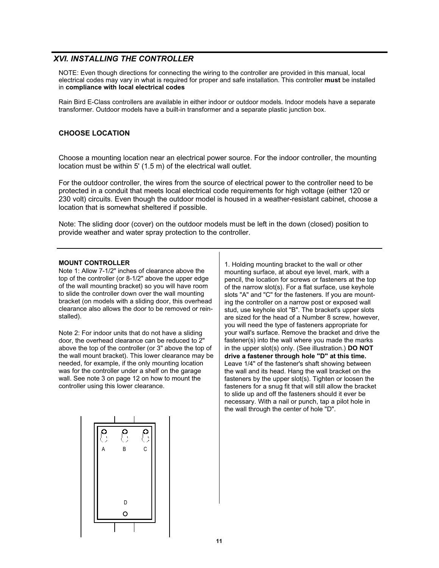#### *XVI. INSTALLING THE CONTROLLER*

NOTE: Even though directions for connecting the wiring to the controller are provided in this manual, local electrical codes may vary in what is required for proper and safe installation. This controller **must** be installed in **compliance with local electrical codes**

Rain Bird E-Class controllers are available in either indoor or outdoor models. Indoor models have a separate transformer. Outdoor models have a built-in transformer and a separate plastic junction box.

#### **CHOOSE LOCATION**

Choose a mounting location near an electrical power source. For the indoor controller, the mounting location must be within 5' (1.5 m) of the electrical wall outlet.

For the outdoor controller, the wires from the source of electrical power to the controller need to be protected in a conduit that meets local electrical code requirements for high voltage (either 120 or 230 volt) circuits. Even though the outdoor model is housed in a weather-resistant cabinet, choose a location that is somewhat sheltered if possible.

Note: The sliding door (cover) on the outdoor models must be left in the down (closed) position to provide weather and water spray protection to the controller.

#### **MOUNT CONTROLLER**

Note 1: Allow 7-1/2" inches of clearance above the top of the controller (or 8-1/2" above the upper edge of the wall mounting bracket) so you will have room to slide the controller down over the wall mounting bracket (on models with a sliding door, this overhead clearance also allows the door to be removed or reinstalled).

Note 2: For indoor units that do not have a sliding door, the overhead clearance can be reduced to 2" above the top of the controller (or 3" above the top of the wall mount bracket). This lower clearance may be needed, for example, if the only mounting location was for the controller under a shelf on the garage wall. See note 3 on page 12 on how to mount the controller using this lower clearance.



1. Holding mounting bracket to the wall or other mounting surface, at about eye level, mark, with a pencil, the location for screws or fasteners at the top of the narrow slot(s). For a flat surface, use keyhole slots "A" and "C" for the fasteners. If you are mounting the controller on a narrow post or exposed wall stud, use keyhole slot "B". The bracket's upper slots are sized for the head of a Number 8 screw, however, you will need the type of fasteners appropriate for your wall's surface. Remove the bracket and drive the fastener(s) into the wall where you made the marks in the upper slot(s) only. (See illustration.) **DO NOT drive a fastener through hole "D" at this time.** Leave 1/4" of the fastener's shaft showing between the wall and its head. Hang the wall bracket on the fasteners by the upper slot(s). Tighten or loosen the fasteners for a snug fit that will still allow the bracket to slide up and off the fasteners should it ever be necessary. With a nail or punch, tap a pilot hole in the wall through the center of hole "D".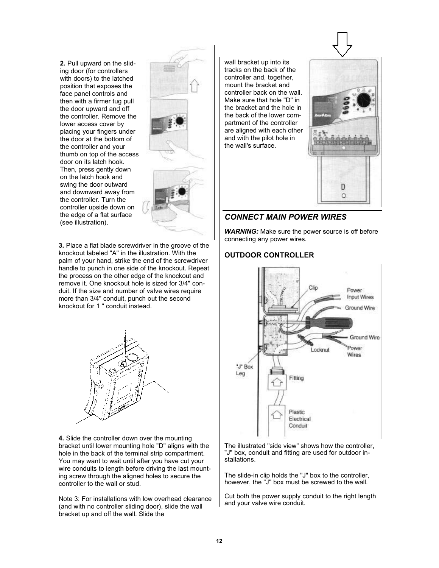**2.** Pull upward on the sliding door (for controllers with doors) to the latched position that exposes the face panel controls and then with a firmer tug pull the door upward and off the controller. Remove the lower access cover by placing your fingers under the door at the bottom of the controller and your thumb on top of the access door on its latch hook. Then, press gently down on the latch hook and swing the door outward and downward away from the controller. Turn the controller upside down on the edge of a flat surface (see illustration).



**3.** Place a flat blade screwdriver in the groove of the knockout labeled "A" in the illustration. With the palm of your hand, strike the end of the screwdriver handle to punch in one side of the knockout. Repeat the process on the other edge of the knockout and remove it. One knockout hole is sized for 3/4" conduit. If the size and number of valve wires require more than 3/4" conduit, punch out the second knockout for 1 " conduit instead.



**4.** Slide the controller down over the mounting bracket until lower mounting hole "D" aligns with the hole in the back of the terminal strip compartment. You may want to wait until after you have cut your wire conduits to length before driving the last mounting screw through the aligned holes to secure the controller to the wall or stud.

Note 3: For installations with low overhead clearance (and with no controller sliding door), slide the wall bracket up and off the wall. Slide the

wall bracket up into its tracks on the back of the controller and, together, mount the bracket and controller back on the wall. Make sure that hole "D" in the bracket and the hole in the back of the lower compartment of the controller are aligned with each other and with the pilot hole in the wall's surface.



### *CONNECT MAIN POWER WIRES*

*WARNING:* Make sure the power source is off before connecting any power wires.

#### **OUTDOOR CONTROLLER**



The illustrated "side view" shows how the controller, "J" box, conduit and fitting are used for outdoor installations.

The slide-in clip holds the "J" box to the controller, however, the "J" box must be screwed to the wall.

Cut both the power supply conduit to the right length and your valve wire conduit.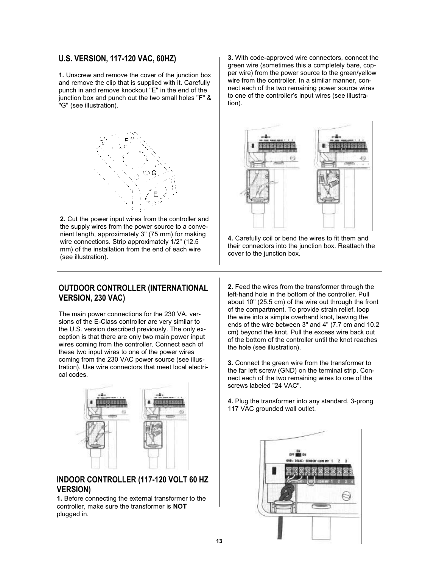#### **U.S. VERSION, 117-120 VAC, 60HZ)**

**1.** Unscrew and remove the cover of the junction box and remove the clip that is supplied with it. Carefully punch in and remove knockout "E" in the end of the junction box and punch out the two small holes "F" & "G" (see illustration).



**2.** Cut the power input wires from the controller and the supply wires from the power source to a convenient length, approximately 3" (75 mm) for making wire connections. Strip approximately 1/2" (12.5 mm) of the installation from the end of each wire (see illustration).

#### **OUTDOOR CONTROLLER (INTERNATIONAL VERSION, 230 VAC)**

The main power connections for the 230 VA. versions of the E-Class controller are very similar to the U.S. version described previously. The only exception is that there are only two main power input wires coming from the controller. Connect each of these two input wires to one of the power wires coming from the 230 VAC power source (see illustration). Use wire connectors that meet local electrical codes.



### **INDOOR CONTROLLER (117-120 VOLT 60 HZ VERSION)**

**1.** Before connecting the external transformer to the controller, make sure the transformer is **NOT** plugged in.

**3.** With code-approved wire connectors, connect the green wire (sometimes this a completely bare, copper wire) from the power source to the green/yellow wire from the controller. In a similar manner, connect each of the two remaining power source wires to one of the controller's input wires (see illustration).



**4.** Carefully coil or bend the wires to fit them and their connectors into the junction box. Reattach the cover to the junction box.

**2.** Feed the wires from the transformer through the left-hand hole in the bottom of the controller. Pull about 10" (25.5 cm) of the wire out through the front of the compartment. To provide strain relief, loop the wire into a simple overhand knot, leaving the ends of the wire between 3" and 4" (7.7 cm and 10.2 cm) beyond the knot. Pull the excess wire back out of the bottom of the controller until the knot reaches the hole (see illustration).

**3.** Connect the green wire from the transformer to the far left screw (GND) on the terminal strip. Connect each of the two remaining wires to one of the screws labeled "24 VAC".

**4.** Plug the transformer into any standard, 3-prong 117 VAC grounded wall outlet.

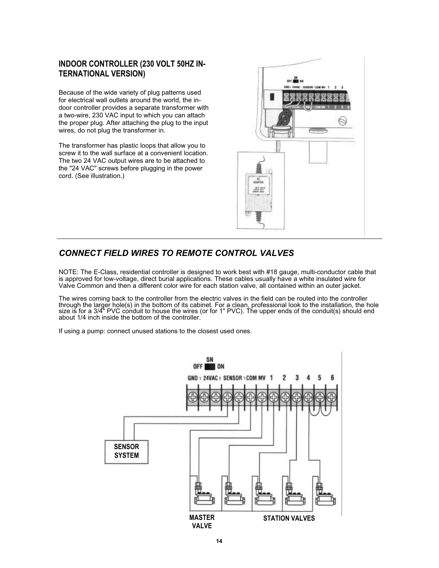### **INDOOR CONTROLLER (230 VOLT 50HZ IN-TERNATIONAL VERSION)**

Because of the wide variety of plug patterns used for electrical wall outlets around the world, the indoor controller provides a separate transformer with a two-wire, 230 VAC input to which you can attach the proper plug. After attaching the plug to the input wires, do not plug the transformer in.

The transformer has plastic loops that allow you to screw it to the wall surface at a convenient location. The two 24 VAC output wires are to be attached to the "24 VAC" screws before plugging in the power cord. (See illustration.)



### *CONNECT FIELD WIRES TO REMOTE CONTROL VALVES*

NOTE: The E-Class, residential controller is designed to work best with #18 gauge, multi-conductor cable that is approved for low-voltage, direct burial applications. These cables usually have a white insulated wire for Valve Common and then a different color wire for each station valve, all contained within an outer jacket.

The wires coming back to the controller from the electric valves in the field can be routed into the controller through the larger hole(s) in the bottom of its cabinet. For a clean, professional look to the installation, the hole size is for a 3/4" PVC conduit to house the wires (or for 1" PVC). The upper ends of the conduit(s) should end about 1/4 inch inside the bottom of the controller.

If using a pump: connect unused stations to the closest used ones.

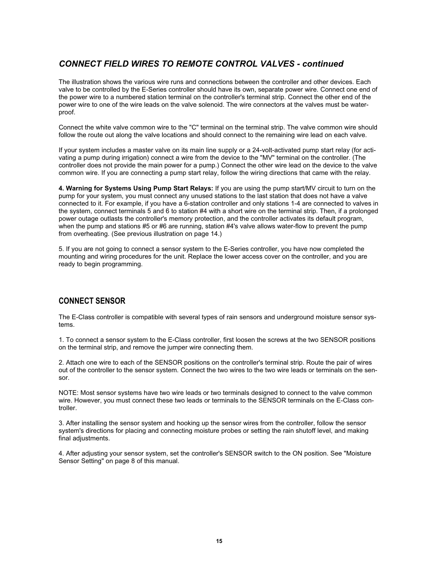### *CONNECT FIELD WIRES TO REMOTE CONTROL VALVES - continued*

The illustration shows the various wire runs and connections between the controller and other devices. Each valve to be controlled by the E-Series controller should have its own, separate power wire. Connect one end of the power wire to a numbered station terminal on the controller's terminal strip. Connect the other end of the power wire to one of the wire leads on the valve solenoid. The wire connectors at the valves must be waterproof.

Connect the white valve common wire to the "C" terminal on the terminal strip. The valve common wire should follow the route out along the valve locations and should connect to the remaining wire lead on each valve.

If your system includes a master valve on its main line supply or a 24-volt-activated pump start relay (for activating a pump during irrigation) connect a wire from the device to the "MV" terminal on the controller. (The controller does not provide the main power for a pump.) Connect the other wire lead on the device to the valve common wire. If you are connecting a pump start relay, follow the wiring directions that came with the relay.

**4. Warning for Systems Using Pump Start Relays:** If you are using the pump start/MV circuit to turn on the pump for your system, you must connect any unused stations to the last station that does not have a valve connected to it. For example, if you have a 6-station controller and only stations 1-4 are connected to valves in the system, connect terminals 5 and 6 to station #4 with a short wire on the terminal strip. Then, if a prolonged power outage outlasts the controller's memory protection, and the controller activates its default program, when the pump and stations #5 or #6 are running, station #4's valve allows water-flow to prevent the pump from overheating. (See previous illustration on page 14.)

5. If you are not going to connect a sensor system to the E-Series controller, you have now completed the mounting and wiring procedures for the unit. Replace the lower access cover on the controller, and you are ready to begin programming.

### **CONNECT SENSOR**

The E-Class controller is compatible with several types of rain sensors and underground moisture sensor systems.

1. To connect a sensor system to the E-Class controller, first loosen the screws at the two SENSOR positions on the terminal strip, and remove the jumper wire connecting them.

2. Attach one wire to each of the SENSOR positions on the controller's terminal strip. Route the pair of wires out of the controller to the sensor system. Connect the two wires to the two wire leads or terminals on the sensor.

NOTE: Most sensor systems have two wire leads or two terminals designed to connect to the valve common wire. However, you must connect these two leads or terminals to the SENSOR terminals on the E-Class controller.

3. After installing the sensor system and hooking up the sensor wires from the controller, follow the sensor system's directions for placing and connecting moisture probes or setting the rain shutoff level, and making final adjustments.

4. After adjusting your sensor system, set the controller's SENSOR switch to the ON position. See "Moisture Sensor Setting" on page 8 of this manual.